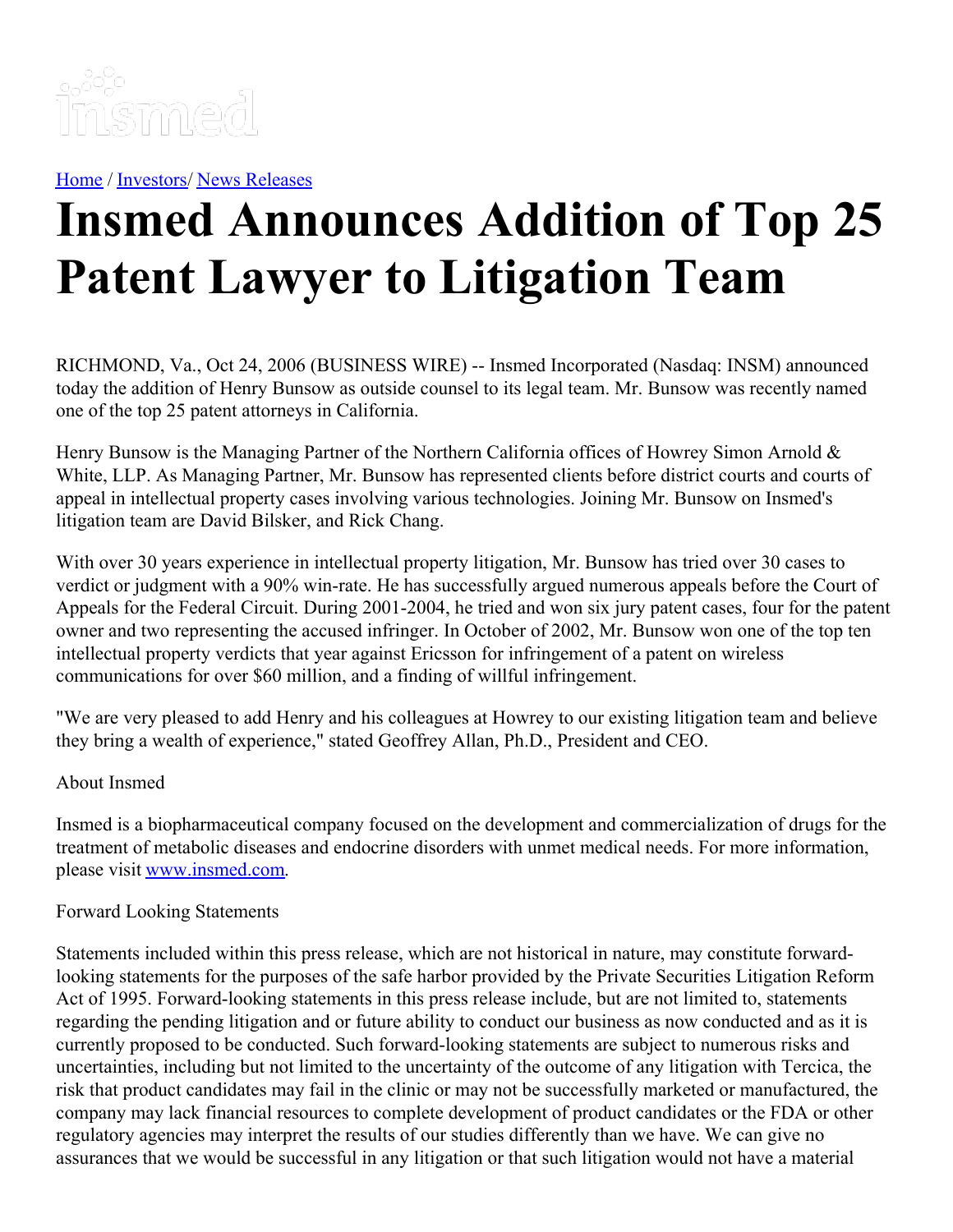

[Home](https://insmed.com/) / [Investors](https://investor.insmed.com/index)/ News [Releases](https://investor.insmed.com/releases)

## **Insmed Announces Addition of Top 25 Patent Lawyer to Litigation Team**

RICHMOND, Va., Oct 24, 2006 (BUSINESS WIRE) -- Insmed Incorporated (Nasdaq: INSM) announced today the addition of Henry Bunsow as outside counsel to its legal team. Mr. Bunsow was recently named one of the top 25 patent attorneys in California.

Henry Bunsow is the Managing Partner of the Northern California offices of Howrey Simon Arnold & White, LLP. As Managing Partner, Mr. Bunsow has represented clients before district courts and courts of appeal in intellectual property cases involving various technologies. Joining Mr. Bunsow on Insmed's litigation team are David Bilsker, and Rick Chang.

With over 30 years experience in intellectual property litigation, Mr. Bunsow has tried over 30 cases to verdict or judgment with a 90% win-rate. He has successfully argued numerous appeals before the Court of Appeals for the Federal Circuit. During 2001-2004, he tried and won six jury patent cases, four for the patent owner and two representing the accused infringer. In October of 2002, Mr. Bunsow won one of the top ten intellectual property verdicts that year against Ericsson for infringement of a patent on wireless communications for over \$60 million, and a finding of willful infringement.

"We are very pleased to add Henry and his colleagues at Howrey to our existing litigation team and believe they bring a wealth of experience," stated Geoffrey Allan, Ph.D., President and CEO.

## About Insmed

Insmed is a biopharmaceutical company focused on the development and commercialization of drugs for the treatment of metabolic diseases and endocrine disorders with unmet medical needs. For more information, please visit [www.insmed.com](http://www.insmed.com/).

## Forward Looking Statements

Statements included within this press release, which are not historical in nature, may constitute forwardlooking statements for the purposes of the safe harbor provided by the Private Securities Litigation Reform Act of 1995. Forward-looking statements in this press release include, but are not limited to, statements regarding the pending litigation and or future ability to conduct our business as now conducted and as it is currently proposed to be conducted. Such forward-looking statements are subject to numerous risks and uncertainties, including but not limited to the uncertainty of the outcome of any litigation with Tercica, the risk that product candidates may fail in the clinic or may not be successfully marketed or manufactured, the company may lack financial resources to complete development of product candidates or the FDA or other regulatory agencies may interpret the results of our studies differently than we have. We can give no assurances that we would be successful in any litigation or that such litigation would not have a material